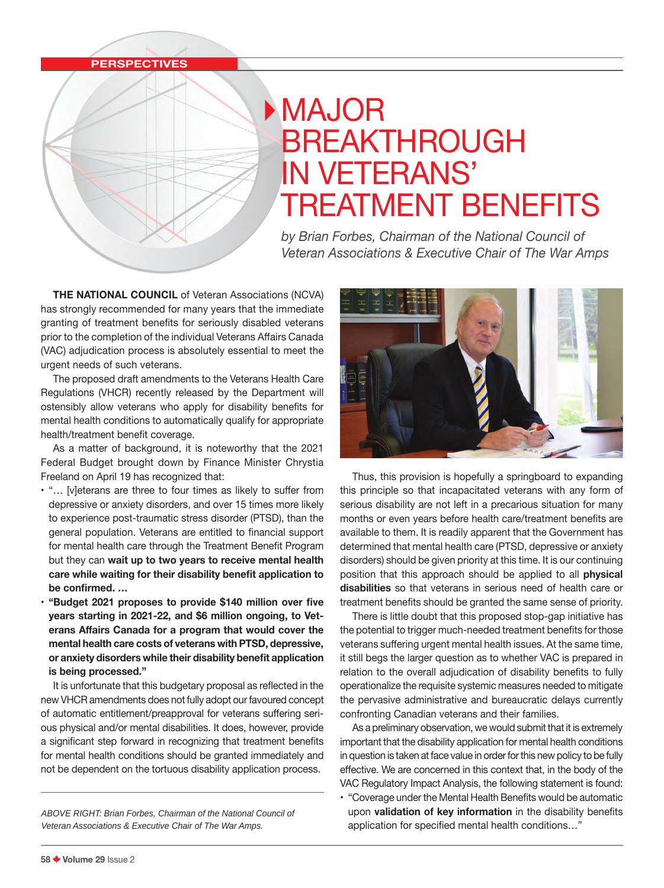## **PERSPECTIVES**

## **MAJOR** BREAKTHROUGH IN VETERANS' TREATMENT BENEFITS

*by Brian Forbes, Chairman of the National Council of Veteran Associations & Executive Chair of The War Amps*

**THE NATIONAL COUNCIL** of Veteran Associations (NCVA) has strongly recommended for many years that the immediate granting of treatment benefits for seriously disabled veterans prior to the completion of the individual Veterans Affairs Canada (VAC) adjudication process is absolutely essential to meet the urgent needs of such veterans.

The proposed draft amendments to the Veterans Health Care Regulations (VHCR) recently released by the Department will ostensibly allow veterans who apply for disability benefits for mental health conditions to automatically qualify for appropriate health/treatment benefit coverage.

As a matter of background, it is noteworthy that the 2021 Federal Budget brought down by Finance Minister Chrystia Freeland on April 19 has recognized that:

- "… [v]eterans are three to four times as likely to suffer from depressive or anxiety disorders, and over 15 times more likely to experience post-traumatic stress disorder (PTSD), than the general population. Veterans are entitled to financial support for mental health care through the Treatment Benefit Program but they can **wait up to two years to receive mental health care while waiting for their disability benefit application to be confirmed. …**
- **"Budget 2021 proposes to provide \$140 million over five years starting in 2021-22, and \$6 million ongoing, to Veterans Affairs Canada for a program that would cover the mental health care costs of veterans with PTSD, depressive, or anxiety disorders while their disability benefit application is being processed."**

It is unfortunate that this budgetary proposal as reflected in the new VHCR amendments does not fully adopt our favoured concept of automatic entitlement/preapproval for veterans suffering serious physical and/or mental disabilities. It does, however, provide a significant step forward in recognizing that treatment benefits for mental health conditions should be granted immediately and not be dependent on the tortuous disability application process.

*ABOVE RIGHT: Brian Forbes, Chairman of the National Council of Veteran Associations & Executive Chair of The War Amps.*



Thus, this provision is hopefully a springboard to expanding this principle so that incapacitated veterans with any form of serious disability are not left in a precarious situation for many months or even years before health care/treatment benefits are available to them. It is readily apparent that the Government has determined that mental health care (PTSD, depressive or anxiety disorders) should be given priority at this time. It is our continuing position that this approach should be applied to all **physical disabilities** so that veterans in serious need of health care or treatment benefits should be granted the same sense of priority.

There is little doubt that this proposed stop-gap initiative has the potential to trigger much-needed treatment benefits for those veterans suffering urgent mental health issues. At the same time, it still begs the larger question as to whether VAC is prepared in relation to the overall adjudication of disability benefits to fully operationalize the requisite systemic measures needed to mitigate the pervasive administrative and bureaucratic delays currently confronting Canadian veterans and their families.

As a preliminary observation, we would submit that it is extremely important that the disability application for mental health conditions in question is taken at face value in order for this new policy to be fully effective. We are concerned in this context that, in the body of the VAC Regulatory Impact Analysis, the following statement is found:

• "Coverage under the Mental Health Benefits would be automatic upon **validation of key information** in the disability benefits application for specified mental health conditions…"